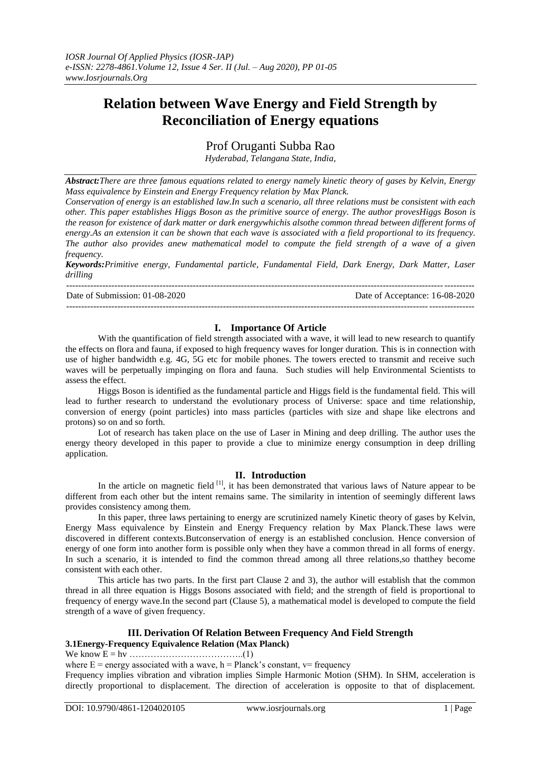# **Relation between Wave Energy and Field Strength by Reconciliation of Energy equations**

Prof Oruganti Subba Rao

*Hyderabad, Telangana State, India,*

*Abstract:There are three famous equations related to energy namely kinetic theory of gases by Kelvin, Energy Mass equivalence by Einstein and Energy Frequency relation by Max Planck.*

*Conservation of energy is an established law.In such a scenario, all three relations must be consistent with each other. This paper establishes Higgs Boson as the primitive source of energy. The author provesHiggs Boson is the reason for existence of dark matter or dark energywhichis alsothe common thread between different forms of energy.As an extension it can be shown that each wave is associated with a field proportional to its frequency. The author also provides anew mathematical model to compute the field strength of a wave of a given frequency.*

*Keywords:Primitive energy, Fundamental particle, Fundamental Field, Dark Energy, Dark Matter, Laser drilling*

 $-1-\frac{1}{2}$ 

Date of Submission: 01-08-2020 Date of Acceptance: 16-08-2020

---------------------------------------------------------------------------------------------------------------------------------------

## **I. Importance Of Article**

With the quantification of field strength associated with a wave, it will lead to new research to quantify the effects on flora and fauna, if exposed to high frequency waves for longer duration. This is in connection with use of higher bandwidth e.g. 4G, 5G etc for mobile phones. The towers erected to transmit and receive such waves will be perpetually impinging on flora and fauna. Such studies will help Environmental Scientists to assess the effect.

Higgs Boson is identified as the fundamental particle and Higgs field is the fundamental field. This will lead to further research to understand the evolutionary process of Universe: space and time relationship, conversion of energy (point particles) into mass particles (particles with size and shape like electrons and protons) so on and so forth.

Lot of research has taken place on the use of Laser in Mining and deep drilling. The author uses the energy theory developed in this paper to provide a clue to minimize energy consumption in deep drilling application.

#### **II. Introduction**

In the article on magnetic field  $^{[1]}$ , it has been demonstrated that various laws of Nature appear to be different from each other but the intent remains same. The similarity in intention of seemingly different laws provides consistency among them.

In this paper, three laws pertaining to energy are scrutinized namely Kinetic theory of gases by Kelvin, Energy Mass equivalence by Einstein and Energy Frequency relation by Max Planck.These laws were discovered in different contexts.Butconservation of energy is an established conclusion. Hence conversion of energy of one form into another form is possible only when they have a common thread in all forms of energy. In such a scenario, it is intended to find the common thread among all three relations,so thatthey become consistent with each other.

This article has two parts. In the first part Clause 2 and 3), the author will establish that the common thread in all three equation is Higgs Bosons associated with field; and the strength of field is proportional to frequency of energy wave.In the second part (Clause 5), a mathematical model is developed to compute the field strength of a wave of given frequency.

## **III. Derivation Of Relation Between Frequency And Field Strength 3.1Energy-Frequency Equivalence Relation (Max Planck)**

We know E = hv ………………………………..(1)

where  $E =$  energy associated with a wave,  $h =$  Planck's constant,  $v =$  frequency

Frequency implies vibration and vibration implies Simple Harmonic Motion (SHM). In SHM, acceleration is directly proportional to displacement. The direction of acceleration is opposite to that of displacement.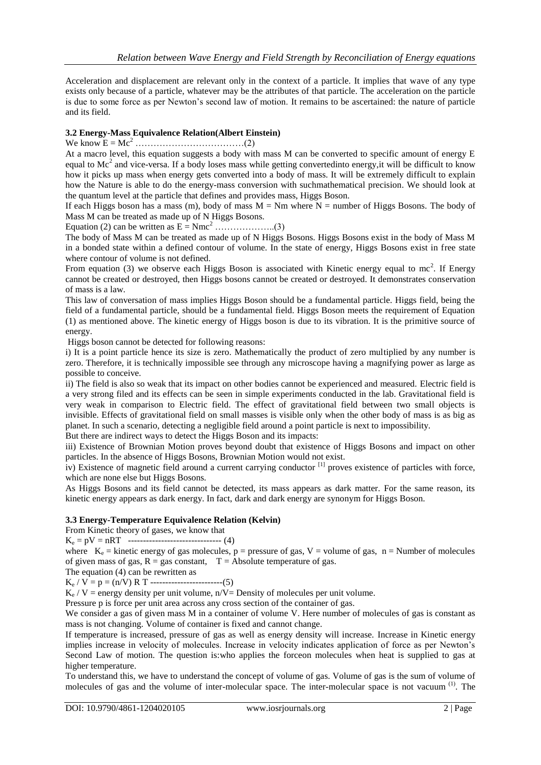Acceleration and displacement are relevant only in the context of a particle. It implies that wave of any type exists only because of a particle, whatever may be the attributes of that particle. The acceleration on the particle is due to some force as per Newton's second law of motion. It remains to be ascertained: the nature of particle and its field.

## **3.2 Energy-Mass Equivalence Relation(Albert Einstein)**

We know E = Mc<sup>2</sup> ………………………………(2)

At a macro level, this equation suggests a body with mass M can be converted to specific amount of energy E equal to  $Mc<sup>2</sup>$  and vice-versa. If a body loses mass while getting convertedinto energy, it will be difficult to know how it picks up mass when energy gets converted into a body of mass. It will be extremely difficult to explain how the Nature is able to do the energy-mass conversion with suchmathematical precision. We should look at the quantum level at the particle that defines and provides mass, Higgs Boson.

If each Higgs boson has a mass (m), body of mass  $M = Nm$  where  $N =$  number of Higgs Bosons. The body of Mass M can be treated as made up of N Higgs Bosons.

Equation (2) can be written as  $E = Nmc^2$  ………………...(3)

The body of Mass M can be treated as made up of N Higgs Bosons. Higgs Bosons exist in the body of Mass M in a bonded state within a defined contour of volume. In the state of energy, Higgs Bosons exist in free state where contour of volume is not defined.

From equation (3) we observe each Higgs Boson is associated with Kinetic energy equal to mc<sup>2</sup>. If Energy cannot be created or destroyed, then Higgs bosons cannot be created or destroyed. It demonstrates conservation of mass is a law.

This law of conversation of mass implies Higgs Boson should be a fundamental particle. Higgs field, being the field of a fundamental particle, should be a fundamental field. Higgs Boson meets the requirement of Equation (1) as mentioned above. The kinetic energy of Higgs boson is due to its vibration. It is the primitive source of energy.

Higgs boson cannot be detected for following reasons:

i) It is a point particle hence its size is zero. Mathematically the product of zero multiplied by any number is zero. Therefore, it is technically impossible see through any microscope having a magnifying power as large as possible to conceive.

ii) The field is also so weak that its impact on other bodies cannot be experienced and measured. Electric field is a very strong filed and its effects can be seen in simple experiments conducted in the lab. Gravitational field is very weak in comparison to Electric field. The effect of gravitational field between two small objects is invisible. Effects of gravitational field on small masses is visible only when the other body of mass is as big as planet. In such a scenario, detecting a negligible field around a point particle is next to impossibility.

But there are indirect ways to detect the Higgs Boson and its impacts:

iii) Existence of Brownian Motion proves beyond doubt that existence of Higgs Bosons and impact on other particles. In the absence of Higgs Bosons, Brownian Motion would not exist.

iv) Existence of magnetic field around a current carrying conductor [1] proves existence of particles with force, which are none else but Higgs Bosons.

As Higgs Bosons and its field cannot be detected, its mass appears as dark matter. For the same reason, its kinetic energy appears as dark energy. In fact, dark and dark energy are synonym for Higgs Boson.

#### **3.3 Energy-Temperature Equivalence Relation (Kelvin)**

From Kinetic theory of gases, we know that

 $K_e = pV = nRT$  ---------------------------------- (4)

where  $K_e$  = kinetic energy of gas molecules, p = pressure of gas, V = volume of gas, n = Number of molecules of given mass of gas,  $R = gas$  constant,  $T = Absolute$  temperature of gas.

The equation (4) can be rewritten as

 $K_e / V = p = (n/V) R T$  ------------------------(5)

 $K_e$  / V = energy density per unit volume, n/V= Density of molecules per unit volume.

Pressure p is force per unit area across any cross section of the container of gas.

We consider a gas of given mass M in a container of volume V. Here number of molecules of gas is constant as mass is not changing. Volume of container is fixed and cannot change.

If temperature is increased, pressure of gas as well as energy density will increase. Increase in Kinetic energy implies increase in velocity of molecules. Increase in velocity indicates application of force as per Newton's Second Law of motion. The question is:who applies the forceon molecules when heat is supplied to gas at higher temperature.

To understand this, we have to understand the concept of volume of gas. Volume of gas is the sum of volume of molecules of gas and the volume of inter-molecular space. The inter-molecular space is not vacuum<sup>(1)</sup>. The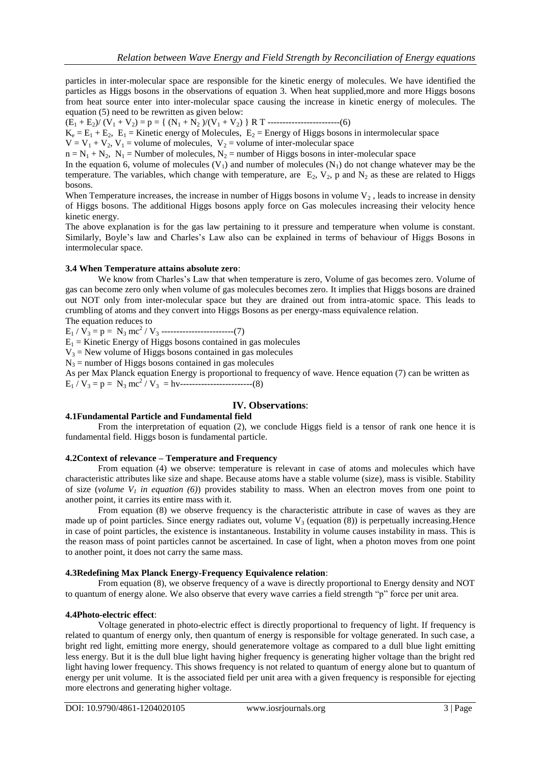particles in inter-molecular space are responsible for the kinetic energy of molecules. We have identified the particles as Higgs bosons in the observations of equation 3. When heat supplied,more and more Higgs bosons from heat source enter into inter-molecular space causing the increase in kinetic energy of molecules. The equation (5) need to be rewritten as given below:

(E<sup>1</sup> + E2)/ (V<sup>1</sup> + V2) = p = { (N<sup>1</sup> + N<sup>2</sup> )/(V<sup>1</sup> + V2) } R T ------------------------(6)

 $K_e = E_1 + E_2$ ,  $E_1 =$  Kinetic energy of Molecules,  $E_2 =$  Energy of Higgs bosons in intermolecular space

 $V = V_1 + V_2$ ,  $V_1$  = volume of molecules,  $V_2$  = volume of inter-molecular space

 $n = N_1 + N_2$ ,  $N_1$  = Number of molecules,  $N_2$  = number of Higgs bosons in inter-molecular space

In the equation 6, volume of molecules  $(V_1)$  and number of molecules  $(N_1)$  do not change whatever may be the temperature. The variables, which change with temperature, are  $E_2$ ,  $V_2$ , p and  $N_2$  as these are related to Higgs bosons.

When Temperature increases, the increase in number of Higgs bosons in volume  $V_2$ , leads to increase in density of Higgs bosons. The additional Higgs bosons apply force on Gas molecules increasing their velocity hence kinetic energy.

The above explanation is for the gas law pertaining to it pressure and temperature when volume is constant. Similarly, Boyle's law and Charles's Law also can be explained in terms of behaviour of Higgs Bosons in intermolecular space.

#### **3.4 When Temperature attains absolute zero**:

We know from Charles's Law that when temperature is zero, Volume of gas becomes zero. Volume of gas can become zero only when volume of gas molecules becomes zero. It implies that Higgs bosons are drained out NOT only from inter-molecular space but they are drained out from intra-atomic space. This leads to crumbling of atoms and they convert into Higgs Bosons as per energy-mass equivalence relation.

The equation reduces to

 $E_1 / V_3 = p = N_3 mc^2 / V_3$  -------------------------(7)

 $E_1$  = Kinetic Energy of Higgs bosons contained in gas molecules

 $V_3$  = New volume of Higgs bosons contained in gas molecules

 $N_3$  = number of Higgs bosons contained in gas molecules

As per Max Planck equation Energy is proportional to frequency of wave. Hence equation (7) can be written as E<sup>1</sup> / V<sup>3</sup> = p = N<sup>3</sup> mc<sup>2</sup> / V3 = hv------------------------(8)

#### **IV. Observations**:

#### **4.1Fundamental Particle and Fundamental field**

From the interpretation of equation (2), we conclude Higgs field is a tensor of rank one hence it is fundamental field. Higgs boson is fundamental particle.

#### **4.2Context of relevance – Temperature and Frequency**

From equation (4) we observe: temperature is relevant in case of atoms and molecules which have characteristic attributes like size and shape. Because atoms have a stable volume (size), mass is visible. Stability of size (*volume V<sub>1</sub>* in equation (6)) provides stability to mass. When an electron moves from one point to another point, it carries its entire mass with it.

From equation (8) we observe frequency is the characteristic attribute in case of waves as they are made up of point particles. Since energy radiates out, volume  $V_3$  (equation (8)) is perpetually increasing. Hence in case of point particles, the existence is instantaneous. Instability in volume causes instability in mass. This is the reason mass of point particles cannot be ascertained. In case of light, when a photon moves from one point to another point, it does not carry the same mass.

#### **4.3Redefining Max Planck Energy-Frequency Equivalence relation**:

From equation (8), we observe frequency of a wave is directly proportional to Energy density and NOT to quantum of energy alone. We also observe that every wave carries a field strength "p" force per unit area.

#### **4.4Photo-electric effect**:

Voltage generated in photo-electric effect is directly proportional to frequency of light. If frequency is related to quantum of energy only, then quantum of energy is responsible for voltage generated. In such case, a bright red light, emitting more energy, should generatemore voltage as compared to a dull blue light emitting less energy. But it is the dull blue light having higher frequency is generating higher voltage than the bright red light having lower frequency. This shows frequency is not related to quantum of energy alone but to quantum of energy per unit volume. It is the associated field per unit area with a given frequency is responsible for ejecting more electrons and generating higher voltage.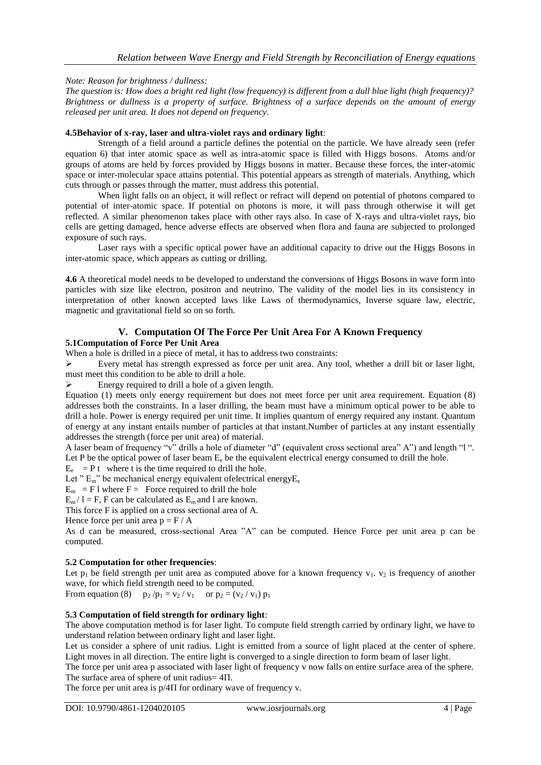## *Note: Reason for brightness / dullness:*

*The question is: How does a bright red light (low frequency) is different from a dull blue light (high frequency)? Brightness or dullness is a property of surface. Brightness of a surface depends on the amount of energy released per unit area. It does not depend on frequency.*

## **4.5Behavior of x-ray, laser and ultra-violet rays and ordinary light**:

Strength of a field around a particle defines the potential on the particle. We have already seen (refer equation 6) that inter atomic space as well as intra-atomic space is filled with Higgs bosons. Atoms and/or groups of atoms are held by forces provided by Higgs bosons in matter. Because these forces, the inter-atomic space or inter-molecular space attains potential. This potential appears as strength of materials. Anything, which cuts through or passes through the matter, must address this potential.

When light falls on an object, it will reflect or refract will depend on potential of photons compared to potential of inter-atomic space. If potential on photons is more, it will pass through otherwise it will get reflected. A similar phenomenon takes place with other rays also. In case of X-rays and ultra-violet rays, bio cells are getting damaged, hence adverse effects are observed when flora and fauna are subjected to prolonged exposure of such rays.

Laser rays with a specific optical power have an additional capacity to drive out the Higgs Bosons in inter-atomic space, which appears as cutting or drilling.

**4.6** A theoretical model needs to be developed to understand the conversions of Higgs Bosons in wave form into particles with size like electron, positron and neutrino. The validity of the model lies in its consistency in interpretation of other known accepted laws like Laws of thermodynamics, Inverse square law, electric, magnetic and gravitational field so on so forth.

#### **V. Computation Of The Force Per Unit Area For A Known Frequency 5.1Computation of Force Per Unit Area**

When a hole is drilled in a piece of metal, it has to address two constraints:

Every metal has strength expressed as force per unit area. Any tool, whether a drill bit or laser light, must meet this condition to be able to drill a hole.

 $\triangleright$  Energy required to drill a hole of a given length.

Equation (1) meets only energy requirement but does not meet force per unit area requirement. Equation (8) addresses both the constraints. In a laser drilling, the beam must have a minimum optical power to be able to drill a hole. Power is energy required per unit time. It implies quantum of energy required any instant. Quantum of energy at any instant entails number of particles at that instant.Number of particles at any instant essentially addresses the strength (force per unit area) of material.

A laser beam of frequency "v" drills a hole of diameter "d" (equivalent cross sectional area" A") and length "l ". Let P be the optical power of laser beam  $E_e$  be the equivalent electrical energy consumed to drill the hole.

 $E_e$  = P t where t is the time required to drill the hole.

Let " $E_m$ " be mechanical energy equivalent ofelectrical energy $E_e$ 

 $E_m$  = F l where F = Force required to drill the hole

 $E_m / 1 = F$ , F can be calculated as  $E_m$  and 1 are known.

This force F is applied on a cross sectional area of A.

Hence force per unit area  $p = F / A$ 

As d can be measured, cross-sectional Area "A" can be computed. Hence Force per unit area p can be computed.

## **5.2 Computation for other frequencies**:

Let  $p_1$  be field strength per unit area as computed above for a known frequency  $v_1$ ,  $v_2$  is frequency of another wave, for which field strength need to be computed.

From equation (8)  $p_2 / p_1 = v_2 / v_1$  or  $p_2 = (v_2 / v_1) p_1$ 

## **5.3 Computation of field strength for ordinary light**:

The above computation method is for laser light. To compute field strength carried by ordinary light, we have to understand relation between ordinary light and laser light.

Let us consider a sphere of unit radius. Light is emitted from a source of light placed at the center of sphere. Light moves in all direction. The entire light is converged to a single direction to form beam of laser light.

The force per unit area p associated with laser light of frequency v now falls on entire surface area of the sphere. The surface area of sphere of unit radius= 4Π.

The force per unit area is  $p/4\Pi$  for ordinary wave of frequency v.